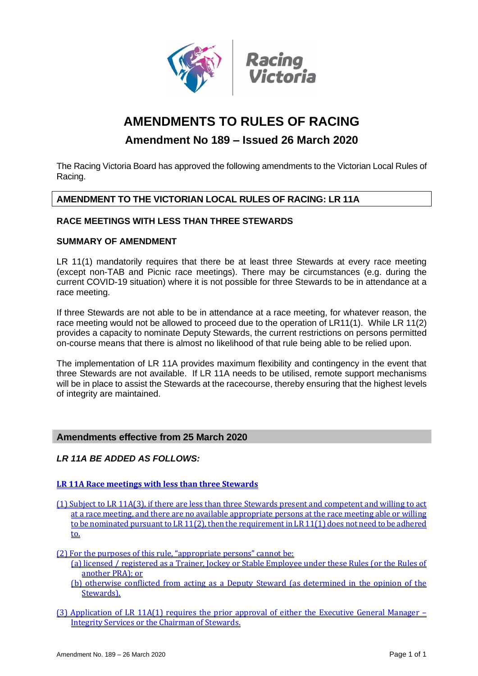

# **AMENDMENTS TO RULES OF RACING**

## **Amendment No 189 – Issued 26 March 2020**

The Racing Victoria Board has approved the following amendments to the Victorian Local Rules of Racing.

## **AMENDMENT TO THE VICTORIAN LOCAL RULES OF RACING: LR 11A**

## **RACE MEETINGS WITH LESS THAN THREE STEWARDS**

## **SUMMARY OF AMENDMENT**

LR 11(1) mandatorily requires that there be at least three Stewards at every race meeting (except non-TAB and Picnic race meetings). There may be circumstances (e.g. during the current COVID-19 situation) where it is not possible for three Stewards to be in attendance at a race meeting.

If three Stewards are not able to be in attendance at a race meeting, for whatever reason, the race meeting would not be allowed to proceed due to the operation of LR11(1). While LR 11(2) provides a capacity to nominate Deputy Stewards, the current restrictions on persons permitted on-course means that there is almost no likelihood of that rule being able to be relied upon.

The implementation of LR 11A provides maximum flexibility and contingency in the event that three Stewards are not available. If LR 11A needs to be utilised, remote support mechanisms will be in place to assist the Stewards at the racecourse, thereby ensuring that the highest levels of integrity are maintained.

## **Amendments effective from 25 March 2020**

## *LR 11A BE ADDED AS FOLLOWS:*

#### **LR 11A Race meetings with less than three Stewards**

- (1) Subject to LR 11A(3), if there are less than three Stewards present and competent and willing to act at a race meeting, and there are no available appropriate persons at the race meeting able or willing to be nominated pursuant to LR 11(2), then the requirement in LR 11(1) does not need to be adhered to.
- (2) For the purposes of this rule, "appropriate persons" cannot be:
	- (a) licensed / registered as a Trainer, Jockey or Stable Employee under these Rules (or the Rules of another PRA); or
	- (b) otherwise conflicted from acting as a Deputy Steward (as determined in the opinion of the Stewards).
- (3) Application of LR 11A(1) requires the prior approval of either the Executive General Manager Integrity Services or the Chairman of Stewards.